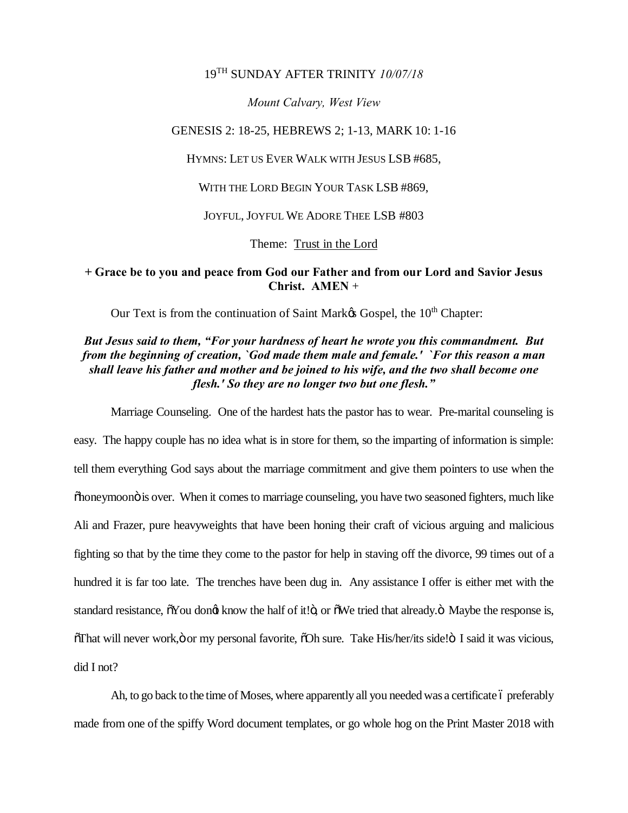#### 19TH SUNDAY AFTER TRINITY *10/07/18*

*Mount Calvary, West View*

#### GENESIS 2: 18-25, HEBREWS 2; 1-13, MARK 10: 1-16

HYMNS: LET US EVER WALK WITH JESUS LSB #685,

WITH THE LORD BEGIN YOUR TASK LSB #869,

JOYFUL, JOYFUL WE ADORE THEE LSB #803

Theme: Trust in the Lord

#### **+ Grace be to you and peace from God our Father and from our Lord and Savior Jesus Christ. AMEN** +

Our Text is from the continuation of Saint Market Gospel, the 10<sup>th</sup> Chapter:

### *But Jesus said to them, "For your hardness of heart he wrote you this commandment. But from the beginning of creation, `God made them male and female.' `For this reason a man shall leave his father and mother and be joined to his wife, and the two shall become one flesh.' So they are no longer two but one flesh."*

Marriage Counseling. One of the hardest hats the pastor has to wear. Pre-marital counseling is easy. The happy couple has no idea what is in store for them, so the imparting of information is simple: tell them everything God says about the marriage commitment and give them pointers to use when the  $\ddot{\text{a}}$  oneymoon  $\ddot{\text{o}}$  is over. When it comes to marriage counseling, you have two seasoned fighters, much like Ali and Frazer, pure heavyweights that have been honing their craft of vicious arguing and malicious fighting so that by the time they come to the pastor for help in staving off the divorce, 99 times out of a hundred it is far too late. The trenches have been dug in. Any assistance I offer is either met with the standard resistance,  $\delta$ You don $\alpha$  know the half of it! $\ddot{\circ}$ , or  $\delta$ We tried that already. $\ddot{\circ}$  Maybe the response is,  $\delta$ That will never work,  $\ddot{o}$  or my personal favorite,  $\delta$ Oh sure. Take His/her/its side! $\ddot{o}$  I said it was vicious, did I not?

Ah, to go back to the time of Moses, where apparently all you needed was a certificate 6 preferably made from one of the spiffy Word document templates, or go whole hog on the Print Master 2018 with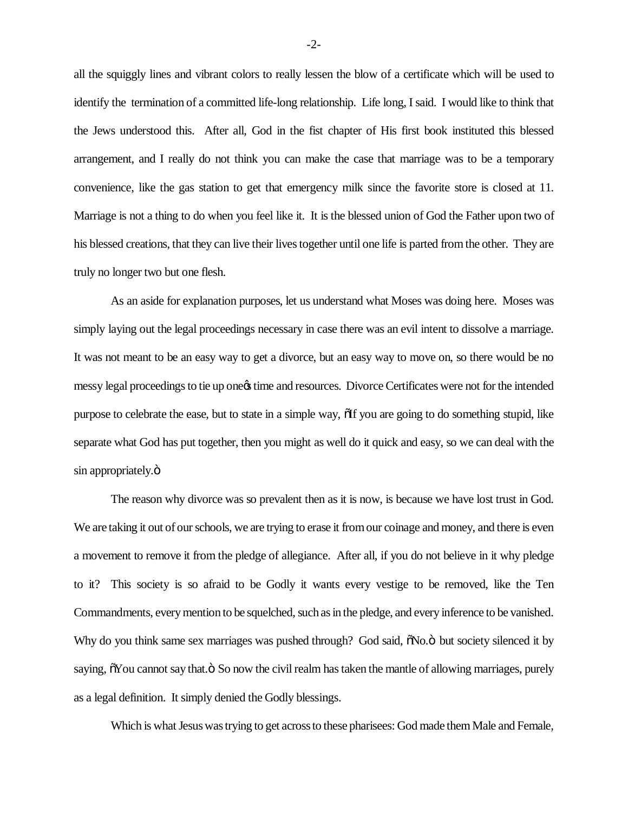all the squiggly lines and vibrant colors to really lessen the blow of a certificate which will be used to identify the termination of a committed life-long relationship. Life long, I said. I would like to think that the Jews understood this. After all, God in the fist chapter of His first book instituted this blessed arrangement, and I really do not think you can make the case that marriage was to be a temporary convenience, like the gas station to get that emergency milk since the favorite store is closed at 11. Marriage is not a thing to do when you feel like it. It is the blessed union of God the Father upon two of his blessed creations, that they can live their lives together until one life is parted from the other. They are truly no longer two but one flesh.

As an aside for explanation purposes, let us understand what Moses was doing here. Moses was simply laying out the legal proceedings necessary in case there was an evil intent to dissolve a marriage. It was not meant to be an easy way to get a divorce, but an easy way to move on, so there would be no messy legal proceedings to tie up one time and resources. Divorce Certificates were not for the intended purpose to celebrate the ease, but to state in a simple way, "If you are going to do something stupid, like separate what God has put together, then you might as well do it quick and easy, so we can deal with the sin appropriately. $\ddot{\text{o}}$ 

The reason why divorce was so prevalent then as it is now, is because we have lost trust in God. We are taking it out of our schools, we are trying to erase it from our coinage and money, and there is even a movement to remove it from the pledge of allegiance. After all, if you do not believe in it why pledge to it? This society is so afraid to be Godly it wants every vestige to be removed, like the Ten Commandments, every mention to be squelched, such as in the pledge, and every inference to be vanished. Why do you think same sex marriages was pushed through? God said,  $\delta$ No. $\ddot{o}$  but society silenced it by saying,  $\tilde{\text{o}}$  You cannot say that. $\tilde{\text{o}}$  So now the civil realm has taken the mantle of allowing marriages, purely as a legal definition. It simply denied the Godly blessings.

Which is what Jesus was trying to get across to these pharisees: God made them Male and Female,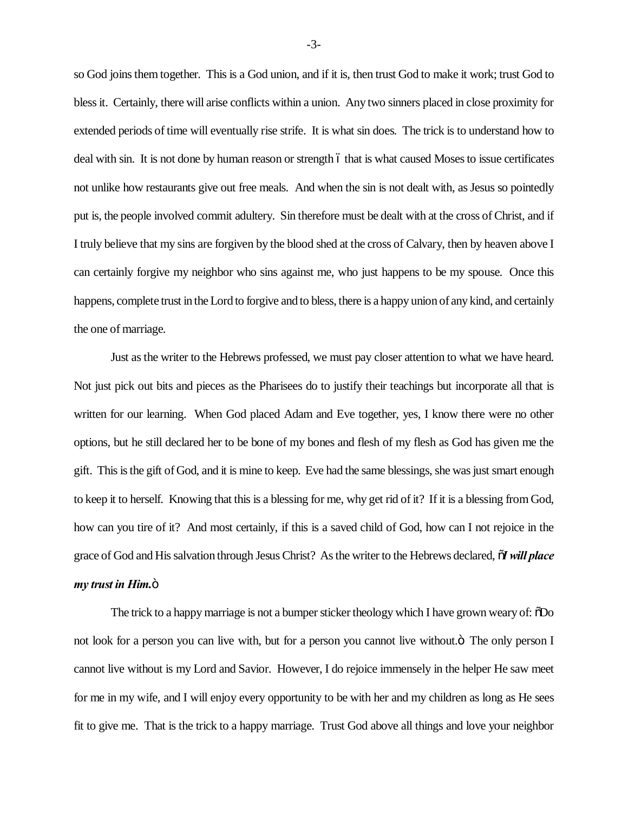so God joins them together. This is a God union, and if it is, then trust God to make it work; trust God to bless it. Certainly, there will arise conflicts within a union. Any two sinners placed in close proximity for extended periods of time will eventually rise strife. It is what sin does. The trick is to understand how to deal with sin. It is not done by human reason or strength  $\acute{o}$  that is what caused Moses to issue certificates not unlike how restaurants give out free meals. And when the sin is not dealt with, as Jesus so pointedly put is, the people involved commit adultery. Sin therefore must be dealt with at the cross of Christ, and if I truly believe that my sins are forgiven by the blood shed at the cross of Calvary, then by heaven above I can certainly forgive my neighbor who sins against me, who just happens to be my spouse. Once this happens, complete trust in the Lord to forgive and to bless, there is a happy union of any kind, and certainly the one of marriage.

Just as the writer to the Hebrews professed, we must pay closer attention to what we have heard. Not just pick out bits and pieces as the Pharisees do to justify their teachings but incorporate all that is written for our learning. When God placed Adam and Eve together, yes, I know there were no other options, but he still declared her to be bone of my bones and flesh of my flesh as God has given me the gift. This is the gift of God, and it is mine to keep. Eve had the same blessings, she was just smart enough to keep it to herself. Knowing that this is a blessing for me, why get rid of it? If it is a blessing from God, how can you tire of it? And most certainly, if this is a saved child of God, how can I not rejoice in the grace of God and His salvation through Jesus Christ? As the writer to the Hebrews declared, "*I will place my trust in Him.* $\ddot{\mathrm{o}}$ 

The trick to a happy marriage is not a bumper sticker theology which I have grown weary of:  $\delta$ Do not look for a person you can live with, but for a person you cannot live without. $\ddot{\rm o}$  The only person I cannot live without is my Lord and Savior. However, I do rejoice immensely in the helper He saw meet for me in my wife, and I will enjoy every opportunity to be with her and my children as long as He sees fit to give me. That is the trick to a happy marriage. Trust God above all things and love your neighbor